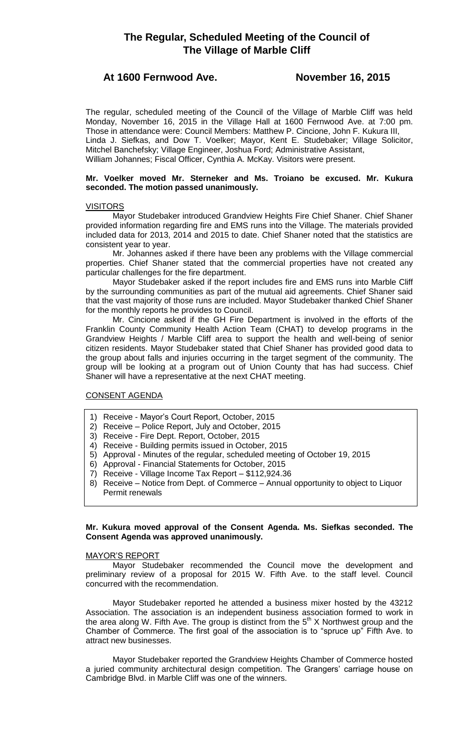# **The Regular, Scheduled Meeting of the Council of The Village of Marble Cliff**

# **At 1600 Fernwood Ave. November 16, 2015**

The regular, scheduled meeting of the Council of the Village of Marble Cliff was held Monday, November 16, 2015 in the Village Hall at 1600 Fernwood Ave. at 7:00 pm. Those in attendance were: Council Members: Matthew P. Cincione, John F. Kukura III, Linda J. Siefkas, and Dow T. Voelker; Mayor, Kent E. Studebaker; Village Solicitor, Mitchel Banchefsky; Village Engineer, Joshua Ford; Administrative Assistant, William Johannes; Fiscal Officer, Cynthia A. McKay. Visitors were present.

## **Mr. Voelker moved Mr. Sterneker and Ms. Troiano be excused. Mr. Kukura seconded. The motion passed unanimously.**

# **VISITORS**

Mayor Studebaker introduced Grandview Heights Fire Chief Shaner. Chief Shaner provided information regarding fire and EMS runs into the Village. The materials provided included data for 2013, 2014 and 2015 to date. Chief Shaner noted that the statistics are consistent year to year.

Mr. Johannes asked if there have been any problems with the Village commercial properties. Chief Shaner stated that the commercial properties have not created any particular challenges for the fire department.

Mayor Studebaker asked if the report includes fire and EMS runs into Marble Cliff by the surrounding communities as part of the mutual aid agreements. Chief Shaner said that the vast majority of those runs are included. Mayor Studebaker thanked Chief Shaner for the monthly reports he provides to Council.

Mr. Cincione asked if the GH Fire Department is involved in the efforts of the Franklin County Community Health Action Team (CHAT) to develop programs in the Grandview Heights / Marble Cliff area to support the health and well-being of senior citizen residents. Mayor Studebaker stated that Chief Shaner has provided good data to the group about falls and injuries occurring in the target segment of the community. The group will be looking at a program out of Union County that has had success. Chief Shaner will have a representative at the next CHAT meeting.

# CONSENT AGENDA

- 1) Receive Mayor's Court Report, October, 2015
- 2) Receive Police Report, July and October, 2015
- 3) Receive Fire Dept. Report, October, 2015
- 4) Receive Building permits issued in October, 2015
- 5) Approval Minutes of the regular, scheduled meeting of October 19, 2015
- 6) Approval Financial Statements for October, 2015
- 7) Receive Village Income Tax Report \$112,924.36
- 8) Receive Notice from Dept. of Commerce Annual opportunity to object to Liquor Permit renewals

# **Mr. Kukura moved approval of the Consent Agenda. Ms. Siefkas seconded. The Consent Agenda was approved unanimously.**

# MAYOR'S REPORT

Mayor Studebaker recommended the Council move the development and preliminary review of a proposal for 2015 W. Fifth Ave. to the staff level. Council concurred with the recommendation.

Mayor Studebaker reported he attended a business mixer hosted by the 43212 Association. The association is an independent business association formed to work in the area along W. Fifth Ave. The group is distinct from the  $5<sup>th</sup>$  X Northwest group and the Chamber of Commerce. The first goal of the association is to "spruce up" Fifth Ave. to attract new businesses.

Mayor Studebaker reported the Grandview Heights Chamber of Commerce hosted a juried community architectural design competition. The Grangers' carriage house on Cambridge Blvd. in Marble Cliff was one of the winners.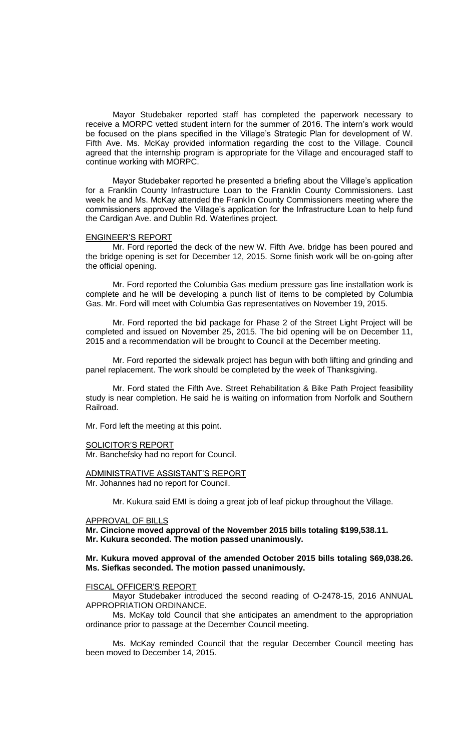Mayor Studebaker reported staff has completed the paperwork necessary to receive a MORPC vetted student intern for the summer of 2016. The intern's work would be focused on the plans specified in the Village's Strategic Plan for development of W. Fifth Ave. Ms. McKay provided information regarding the cost to the Village. Council agreed that the internship program is appropriate for the Village and encouraged staff to continue working with MORPC.

Mayor Studebaker reported he presented a briefing about the Village's application for a Franklin County Infrastructure Loan to the Franklin County Commissioners. Last week he and Ms. McKay attended the Franklin County Commissioners meeting where the commissioners approved the Village's application for the Infrastructure Loan to help fund the Cardigan Ave. and Dublin Rd. Waterlines project.

#### ENGINEER'S REPORT

Mr. Ford reported the deck of the new W. Fifth Ave. bridge has been poured and the bridge opening is set for December 12, 2015. Some finish work will be on-going after the official opening.

Mr. Ford reported the Columbia Gas medium pressure gas line installation work is complete and he will be developing a punch list of items to be completed by Columbia Gas. Mr. Ford will meet with Columbia Gas representatives on November 19, 2015.

Mr. Ford reported the bid package for Phase 2 of the Street Light Project will be completed and issued on November 25, 2015. The bid opening will be on December 11, 2015 and a recommendation will be brought to Council at the December meeting.

Mr. Ford reported the sidewalk project has begun with both lifting and grinding and panel replacement. The work should be completed by the week of Thanksgiving.

Mr. Ford stated the Fifth Ave. Street Rehabilitation & Bike Path Project feasibility study is near completion. He said he is waiting on information from Norfolk and Southern Railroad.

Mr. Ford left the meeting at this point.

#### SOLICITOR'S REPORT

Mr. Banchefsky had no report for Council.

### ADMINISTRATIVE ASSISTANT'S REPORT Mr. Johannes had no report for Council.

Mr. Kukura said EMI is doing a great job of leaf pickup throughout the Village.

#### APPROVAL OF BILLS

**Mr. Cincione moved approval of the November 2015 bills totaling \$199,538.11. Mr. Kukura seconded. The motion passed unanimously.**

# **Mr. Kukura moved approval of the amended October 2015 bills totaling \$69,038.26. Ms. Siefkas seconded. The motion passed unanimously.**

#### FISCAL OFFICER'S REPORT

Mayor Studebaker introduced the second reading of O-2478-15, 2016 ANNUAL APPROPRIATION ORDINANCE.

Ms. McKay told Council that she anticipates an amendment to the appropriation ordinance prior to passage at the December Council meeting.

Ms. McKay reminded Council that the regular December Council meeting has been moved to December 14, 2015.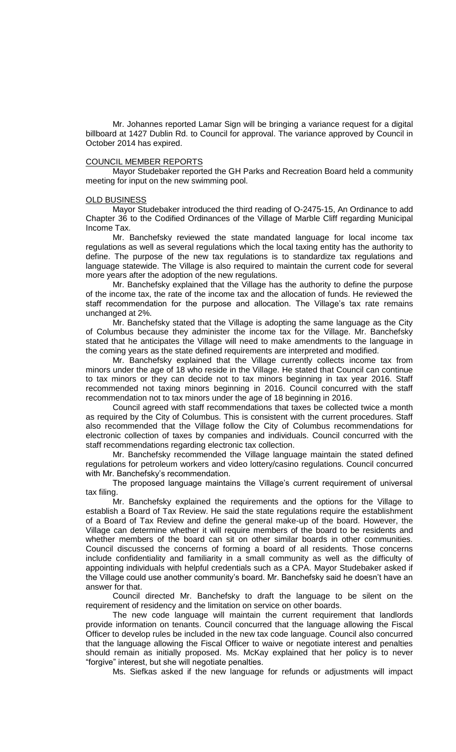Mr. Johannes reported Lamar Sign will be bringing a variance request for a digital billboard at 1427 Dublin Rd. to Council for approval. The variance approved by Council in October 2014 has expired.

### COUNCIL MEMBER REPORTS

Mayor Studebaker reported the GH Parks and Recreation Board held a community meeting for input on the new swimming pool.

#### **OLD BUSINESS**

Mayor Studebaker introduced the third reading of O-2475-15, An Ordinance to add Chapter 36 to the Codified Ordinances of the Village of Marble Cliff regarding Municipal Income Tax.

Mr. Banchefsky reviewed the state mandated language for local income tax regulations as well as several regulations which the local taxing entity has the authority to define. The purpose of the new tax regulations is to standardize tax regulations and language statewide. The Village is also required to maintain the current code for several more years after the adoption of the new regulations.

Mr. Banchefsky explained that the Village has the authority to define the purpose of the income tax, the rate of the income tax and the allocation of funds. He reviewed the staff recommendation for the purpose and allocation. The Village's tax rate remains unchanged at 2%.

Mr. Banchefsky stated that the Village is adopting the same language as the City of Columbus because they administer the income tax for the Village. Mr. Banchefsky stated that he anticipates the Village will need to make amendments to the language in the coming years as the state defined requirements are interpreted and modified.

Mr. Banchefsky explained that the Village currently collects income tax from minors under the age of 18 who reside in the Village. He stated that Council can continue to tax minors or they can decide not to tax minors beginning in tax year 2016. Staff recommended not taxing minors beginning in 2016. Council concurred with the staff recommendation not to tax minors under the age of 18 beginning in 2016.

Council agreed with staff recommendations that taxes be collected twice a month as required by the City of Columbus. This is consistent with the current procedures. Staff also recommended that the Village follow the City of Columbus recommendations for electronic collection of taxes by companies and individuals. Council concurred with the staff recommendations regarding electronic tax collection.

Mr. Banchefsky recommended the Village language maintain the stated defined regulations for petroleum workers and video lottery/casino regulations. Council concurred with Mr. Banchefsky's recommendation.

The proposed language maintains the Village's current requirement of universal tax filing.

Mr. Banchefsky explained the requirements and the options for the Village to establish a Board of Tax Review. He said the state regulations require the establishment of a Board of Tax Review and define the general make-up of the board. However, the Village can determine whether it will require members of the board to be residents and whether members of the board can sit on other similar boards in other communities. Council discussed the concerns of forming a board of all residents. Those concerns include confidentiality and familiarity in a small community as well as the difficulty of appointing individuals with helpful credentials such as a CPA. Mayor Studebaker asked if the Village could use another community's board. Mr. Banchefsky said he doesn't have an answer for that.

Council directed Mr. Banchefsky to draft the language to be silent on the requirement of residency and the limitation on service on other boards.

The new code language will maintain the current requirement that landlords provide information on tenants. Council concurred that the language allowing the Fiscal Officer to develop rules be included in the new tax code language. Council also concurred that the language allowing the Fiscal Officer to waive or negotiate interest and penalties should remain as initially proposed. Ms. McKay explained that her policy is to never "forgive" interest, but she will negotiate penalties.

Ms. Siefkas asked if the new language for refunds or adjustments will impact